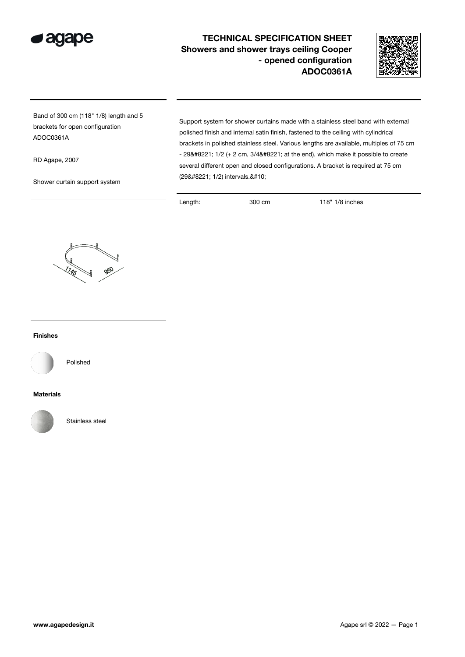

## TECHNICAL SPECIFICATION SHEET Showers and shower trays ceiling Cooper - opened configuration ADOC0361A



Band of 300 cm (118" 1/8) length and 5 brackets for open configuration ADOC0361A

RD Agape, 2007

Shower curtain support system

Support system for shower curtains made with a stainless steel band with external polished finish and internal satin finish, fastened to the ceiling with cylindrical brackets in polished stainless steel. Various lengths are available, multiples of 75 cm  $-$  29" 1/2 (+ 2 cm, 3/4" at the end), which make it possible to create several different open and closed configurations. A bracket is required at 75 cm (29" 1/2) intervals.

Length: 300 cm 118" 1/8 inches



## Finishes



Polished

## Materials



Stainless steel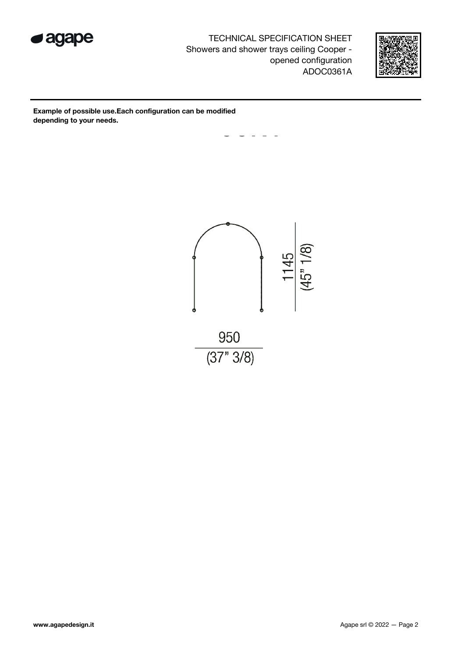

TECHNICAL SPECIFICATION SHEET Showers and shower trays ceiling Cooper opened configuration ADOC0361A



Example of possible use.Each configuration can be modified depending to your needs.

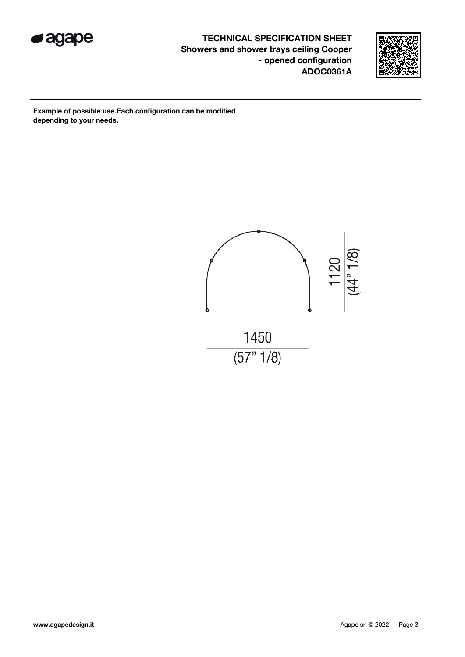

TECHNICAL SPECIFICATION SHEET Showers and shower trays ceiling Cooper - opened configuration ADOC0361A



Example of possible use.Each configuration can be modified depending to your needs.